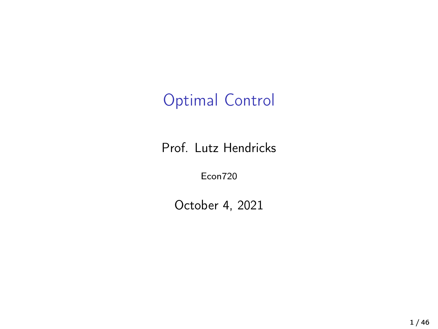## Optimal Control

Prof. Lutz Hendricks

Econ720

October 4, 2021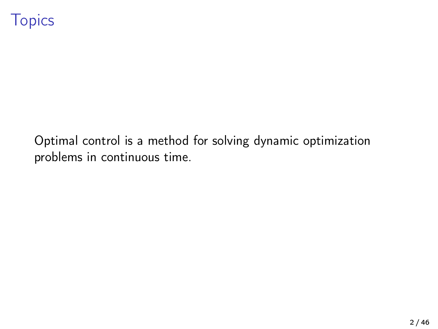Optimal control is a method for solving dynamic optimization problems in continuous time.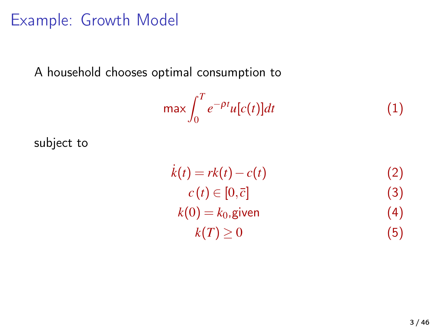### Example: Growth Model

A household chooses optimal consumption to

$$
\max \int_0^T e^{-\rho t} u[c(t)] dt \tag{1}
$$

subject to

 $\dot{k}(t) = rk(t) - c(t)$  (2)  $c(t) \in [0,\bar{c}]$  (3)  $k(0) = k_0$ , given (4)  $k(T) \ge 0$  (5)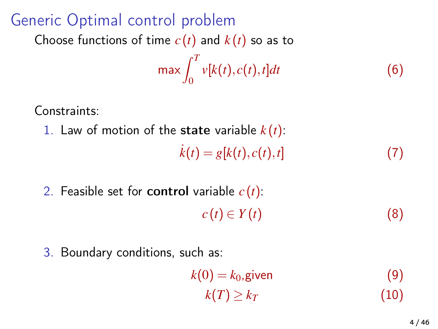## Generic Optimal control problem

Choose functions of time  $c(t)$  and  $k(t)$  so as to

$$
\max \int_0^T v[k(t), c(t), t]dt \tag{6}
$$

Constraints:

1. Law of motion of the state variable  $k(t)$ :

$$
\dot{k}(t) = g[k(t), c(t), t] \tag{7}
$$

2. Feasible set for control variable *c* (*t*):  $c(t) \in Y(t)$  (8)

3. Boundary conditions, such as:

$$
k(0) = k_0, \text{given}
$$
  
\n
$$
k(T) \ge k_T
$$
 (10)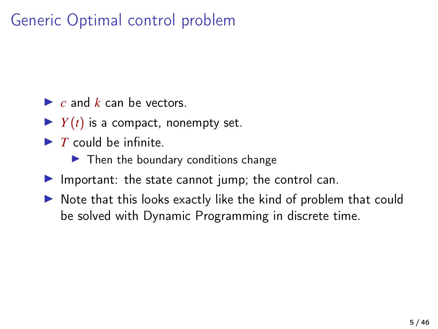## Generic Optimal control problem

- $\blacktriangleright$  *c* and *k* can be vectors.
- $\blacktriangleright$  *Y*(*t*) is a compact, nonempty set.
- $\blacktriangleright$  *T* could be infinite.
	- $\blacktriangleright$  Then the boundary conditions change
- $\blacktriangleright$  Important: the state cannot jump; the control can.
- $\triangleright$  Note that this looks exactly like the kind of problem that could be solved with Dynamic Programming in discrete time.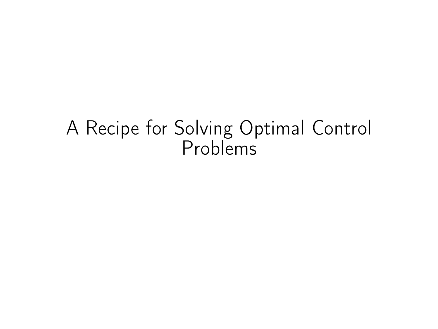# A Recipe for Solving Optimal Control Problems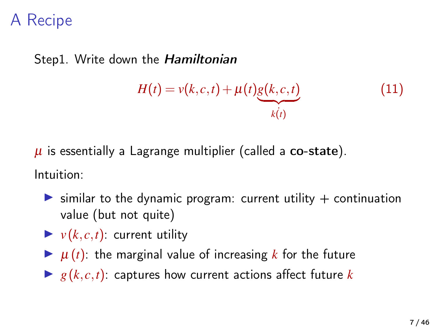Step1. Write down the Hamiltonian

$$
H(t) = v(k, c, t) + \mu(t) \underbrace{g(k, c, t)}_{k(t)}
$$
\n(11)

 $\mu$  is essentially a Lagrange multiplier (called a co-state).

Intuition:

- $\triangleright$  similar to the dynamic program: current utility  $+$  continuation value (but not quite)
- $\blacktriangleright$   $v(k, c, t)$ : current utility
- $\blacktriangleright$   $\mu(t)$ : the marginal value of increasing *k* for the future
- $\blacktriangleright$  *g*( $k, c, t$ ): captures how current actions affect future  $k$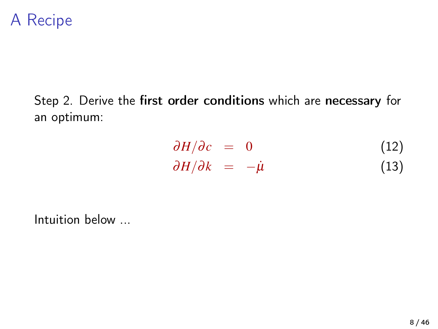#### Step 2. Derive the first order conditions which are necessary for an optimum:

$$
\frac{\partial H}{\partial c} = 0 \tag{12}
$$
  

$$
\frac{\partial H}{\partial k} = -\dot{\mu} \tag{13}
$$

Intuition below ...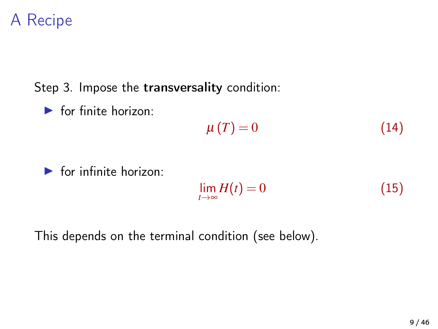Step 3. Impose the transversality condition:

 $\blacktriangleright$  for finite horizon:

$$
\mu(T) = 0 \tag{14}
$$

 $\blacktriangleright$  for infinite horizon:

$$
\lim_{t \to \infty} H(t) = 0 \tag{15}
$$

This depends on the terminal condition (see below).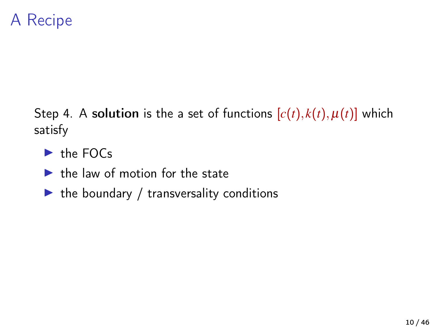Step 4. A solution is the a set of functions  $[c(t), k(t), \mu(t)]$  which satisfy

- $\blacktriangleright$  the FOCs
- $\blacktriangleright$  the law of motion for the state
- $\blacktriangleright$  the boundary / transversality conditions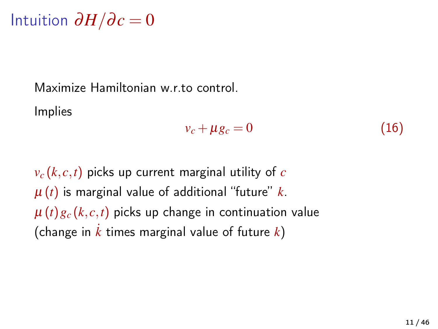$Intuition$   $\partial H/\partial c = 0$ 

Maximize Hamiltonian w.r.to control.

Implies

$$
v_c + \mu g_c = 0 \tag{16}
$$

 $v_c(k, c, t)$  picks up current marginal utility of *c* µ (*t*) is marginal value of additional "future" *k*.  $\mu(t)g_c(k,c,t)$  picks up change in continuation value (change in  $\overline{k}$  times marginal value of future  $\overline{k}$ )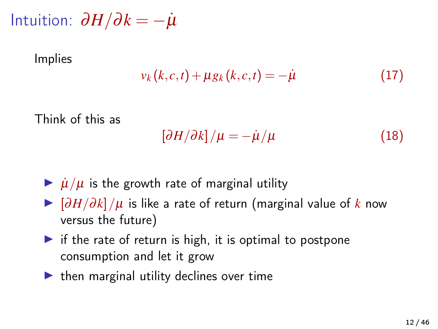$Intuition: ∂H/∂k = −*µ*$ 

Implies

$$
v_k(k, c, t) + \mu g_k(k, c, t) = -\dot{\mu}
$$
 (17)

Think of this as

$$
\left[\partial H/\partial k\right]/\mu = -\dot{\mu}/\mu\tag{18}
$$

- $\frac{\partial \mathbf{u}}{\partial \mathbf{u}} / \mu$  is the growth rate of marginal utility
- $\triangleright$   $\left[\frac{\partial H}{\partial k}\right]/\mu$  is like a rate of return (marginal value of *k* now versus the future)
- $\triangleright$  if the rate of return is high, it is optimal to postpone consumption and let it grow
- $\blacktriangleright$  then marginal utility declines over time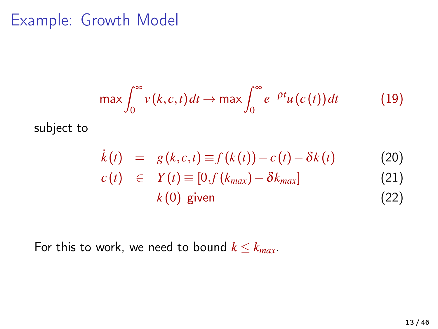#### Example: Growth Model

$$
\max \int_0^\infty v(k,c,t) dt \to \max \int_0^\infty e^{-\rho t} u(c(t)) dt \tag{19}
$$

subject to

$$
\dot{k}(t) = g(k,c,t) \equiv f(k(t)) - c(t) - \delta k(t) \tag{20}
$$

$$
c(t) \in Y(t) \equiv [0, f(k_{max}) - \delta k_{max}] \tag{21}
$$

$$
k(0) \text{ given} \tag{22}
$$

For this to work, we need to bound  $k \leq k_{max}$ .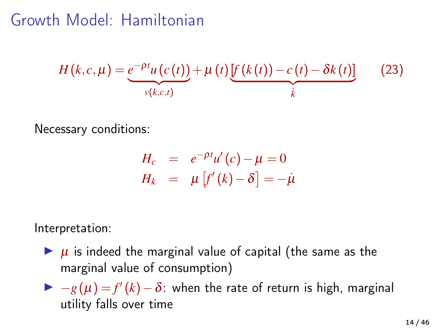## Growth Model: Hamiltonian

$$
H(k,c,\mu) = \underbrace{e^{-\rho t}u(c(t))}_{v(k,c,t)} + \mu(t)\underbrace{[f(k(t))-c(t)-\delta k(t)]}_{k}
$$
 (23)

Necessary conditions:

$$
H_c = e^{-\rho t} u'(c) - \mu = 0
$$
  

$$
H_k = \mu [f'(k) - \delta] = -\mu
$$

Interpretation:

- $\blacktriangleright$   $\mu$  is indeed the marginal value of capital (the same as the marginal value of consumption)
- $\triangleright$   $-g(\mu) = f'(k) δ$ : when the rate of return is high, marginal utility falls over time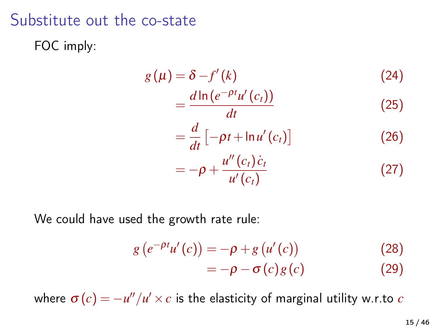#### Substitute out the co-state

FOC imply:

$$
g(\mu) = \delta - f'(k)
$$
\n
$$
= \frac{d \ln (e^{-\rho t} u'(c_t))}{dt}
$$
\n
$$
= \frac{d}{dt} \left[ -\rho t + \ln u'(c_t) \right]
$$
\n
$$
= -\rho + \frac{u''(c_t) \dot{c}_t}{u'(c_t)}
$$
\n(27)

We could have used the growth rate rule:

$$
g\left(e^{-\rho t}u'(c)\right) = -\rho + g\left(u'(c)\right)
$$
\n
$$
= -\rho - \sigma(c)g(c)
$$
\n(29)

where  $\bm{\sigma}(c) = -u''/u' \times c$  is the elasticity of marginal utility w.r.to  $c$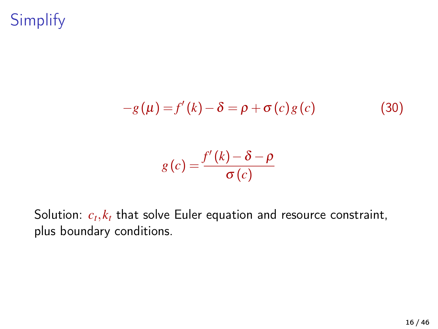**Simplify** 

$$
-g(\mu) = f'(k) - \delta = \rho + \sigma(c)g(c)
$$
 (30)

$$
g(c) = \frac{f'(k) - \delta - \rho}{\sigma(c)}
$$

Solution:  $c_t, k_t$  that solve Euler equation and resource constraint, plus boundary conditions.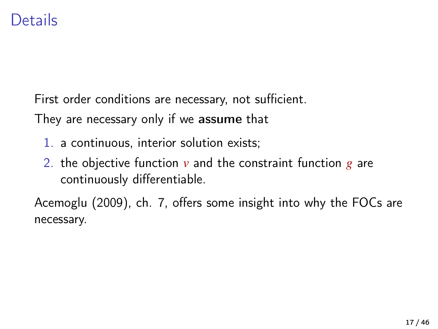#### Details

First order conditions are necessary, not sufficient.

They are necessary only if we assume that

- 1. a continuous, interior solution exists;
- 2. the objective function *v* and the constraint function *g* are continuously differentiable.

[Acemoglu \(2009\)](#page-45-0), ch. 7, offers some insight into why the FOCs are necessary.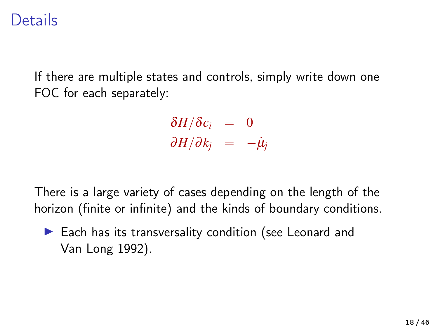#### Details

If there are multiple states and controls, simply write down one FOC for each separately:

> $δH/δc<sub>i</sub> = 0$  $\partial H/\partial k_i = -\dot{\mu}_i$

There is a large variety of cases depending on the length of the horizon (finite or infinite) and the kinds of boundary conditions.

 $\blacktriangleright$  Each has its transversality condition (see [Leonard and](#page-45-1) [Van Long 1992\)](#page-45-1).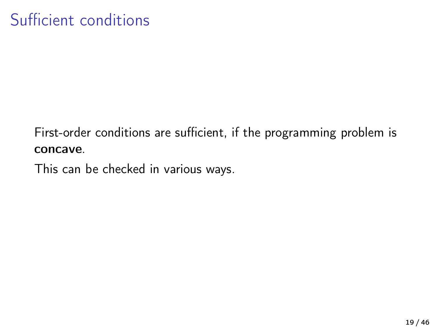First-order conditions are sufficient, if the programming problem is concave.

This can be checked in various ways.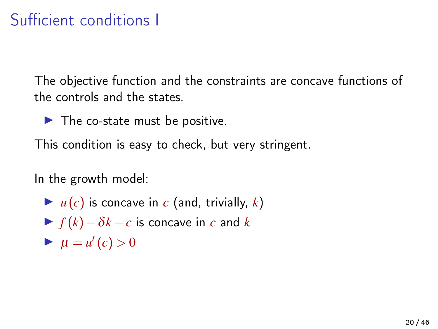## Sufficient conditions I

The objective function and the constraints are concave functions of the controls and the states.

 $\blacktriangleright$  The co-state must be positive.

This condition is easy to check, but very stringent.

In the growth model:

- $\blacktriangleright$   $u(c)$  is concave in *c* (and, trivially, *k*)
- $\triangleright$  *f* (*k*) −  $\delta k$  − *c* is concave in *c* and *k*
- $\blacktriangleright \mu = u'(c) > 0$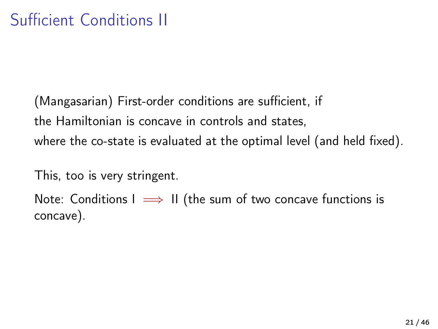(Mangasarian) First-order conditions are sufficient, if the Hamiltonian is concave in controls and states, where the co-state is evaluated at the optimal level (and held fixed).

This, too is very stringent.

Note: Conditions  $I \implies II$  (the sum of two concave functions is concave).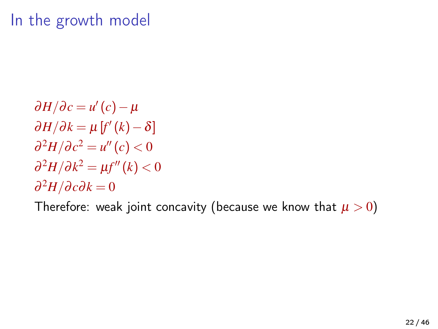#### In the growth model

 $\partial H/\partial c = u'(c) - \mu$  $\partial H/\partial k = \mu [f'(k) - \delta]$  $\partial^2 H / \partial c^2 = u''(c) < 0$  $\partial^2 H/\partial k^2 = \mu f''(k) < 0$  $\partial^2 H / \partial c \partial k = 0$ 

Therefore: weak joint concavity (because we know that  $\mu > 0$ )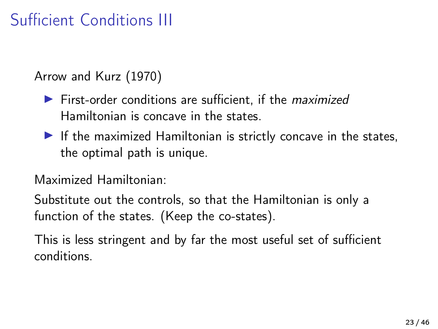## Sufficient Conditions III

[Arrow and Kurz \(1970\)](#page-45-2)

- $\blacktriangleright$  First-order conditions are sufficient, if the *maximized* Hamiltonian is concave in the states.
- $\blacktriangleright$  If the maximized Hamiltonian is strictly concave in the states, the optimal path is unique.

Maximized Hamiltonian:

Substitute out the controls, so that the Hamiltonian is only a function of the states. (Keep the co-states).

This is less stringent and by far the most useful set of sufficient conditions.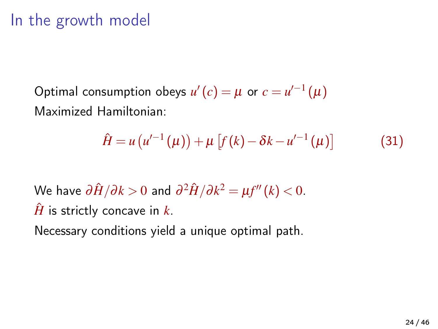#### In the growth model

Optimal consumption obeys  $u'(c) = \mu$  or  $c = u'^{-1}(\mu)$ Maximized Hamiltonian:

$$
\hat{H} = u\left(u'^{-1}\left(\mu\right)\right) + \mu\left[f\left(k\right) - \delta k - u'^{-1}\left(\mu\right)\right] \tag{31}
$$

 $\forall \forall \lambda$ e have  $\partial \hat{H}/\partial k > 0$  and  $\partial^2 \hat{H}/\partial k^2 = \mu f''(k) < 0.$  $\hat{H}$  is strictly concave in  $k$ .

Necessary conditions yield a unique optimal path.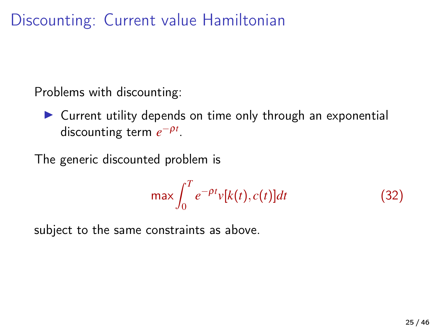Discounting: Current value Hamiltonian

Problems with discounting:

 $\triangleright$  Current utility depends on time only through an exponential discounting term  $e^{-ρt}$ .

The generic discounted problem is

$$
\max \int_0^T e^{-\rho t} v[k(t), c(t)] dt
$$
 (32)

subject to the same constraints as above.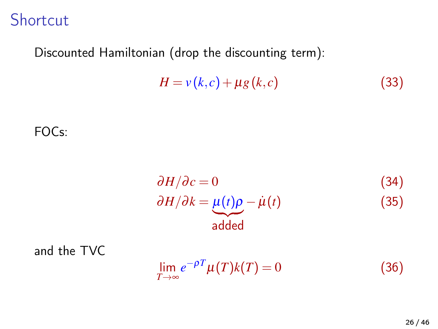Shortcut

#### Discounted Hamiltonian (drop the discounting term):

$$
H = v(k, c) + \mu g(k, c) \tag{33}
$$

FOCs:

$$
\frac{\partial H}{\partial c} = 0 \tag{34}
$$
  
 
$$
\frac{\partial H}{\partial k} = \underbrace{\mu(t)\rho}_{\text{added}} - \dot{\mu}(t) \tag{35}
$$

and the TVC

$$
\lim_{T \to \infty} e^{-\rho T} \mu(T) k(T) = 0 \tag{36}
$$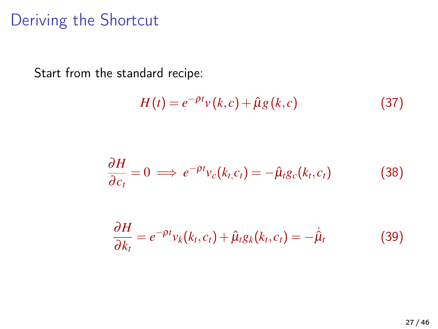#### Deriving the Shortcut

Start from the standard recipe:

$$
H(t) = e^{-\rho t} v(k, c) + \hat{\mu} g(k, c)
$$
\n(37)

$$
\frac{\partial H}{\partial c_t} = 0 \implies e^{-\rho t} v_c(k_t, c_t) = -\hat{\mu}_t g_c(k_t, c_t)
$$
 (38)

$$
\frac{\partial H}{\partial k_t} = e^{-\rho t} v_k(k_t, c_t) + \hat{\mu}_t g_k(k_t, c_t) = -\dot{\hat{\mu}}_t \tag{39}
$$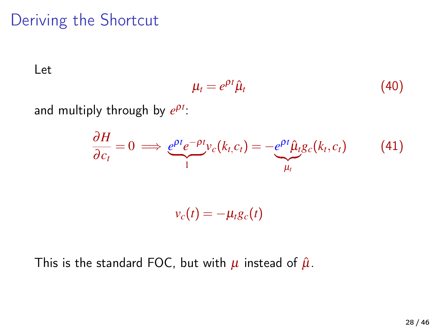#### Deriving the Shortcut

Let

$$
\mu_t = e^{\rho t} \hat{\mu}_t \tag{40}
$$

and multiply through by  $e^{\rho t}$ :

$$
\frac{\partial H}{\partial c_t} = 0 \implies \underbrace{e^{\rho t} e^{-\rho t}}_{1} v_c(k_t, c_t) = -\underbrace{e^{\rho t} \hat{\mu}_t} g_c(k_t, c_t) \tag{41}
$$
\n
$$
v_c(t) = -\mu_t g_c(t)
$$

This is the standard FOC, but with  $\mu$  instead of  $\hat{\mu}$ .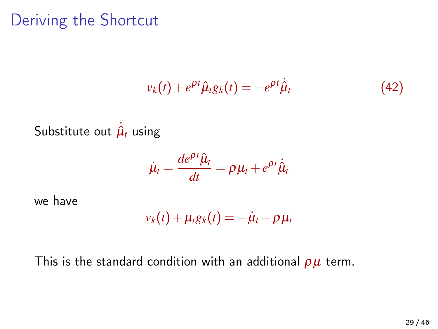#### Deriving the Shortcut

$$
v_k(t) + e^{\rho t} \hat{\mu}_t g_k(t) = -e^{\rho t} \dot{\hat{\mu}}_t \tag{42}
$$

Substitute out  $\hat{\mu}_t$  using

$$
\dot{\mu}_t = \frac{de^{\rho t} \hat{\mu}_t}{dt} = \rho \mu_t + e^{\rho t} \dot{\hat{\mu}}_t
$$

we have

$$
v_k(t) + \mu_t g_k(t) = -\dot{\mu}_t + \rho \mu_t
$$

This is the standard condition with an additional  $\rho\mu$  term.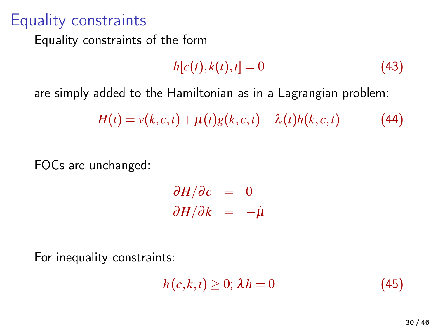#### Equality constraints

Equality constraints of the form

$$
h[c(t),k(t),t] = 0 \tag{43}
$$

are simply added to the Hamiltonian as in a Lagrangian problem:

$$
H(t) = v(k, c, t) + \mu(t)g(k, c, t) + \lambda(t)h(k, c, t)
$$
\n(44)

FOCs are unchanged:

 $\partial H/\partial c = 0$  $\partial H/\partial k = -\mu$ 

For inequality constraints:

$$
h(c,k,t) \geq 0; \lambda h = 0 \tag{45}
$$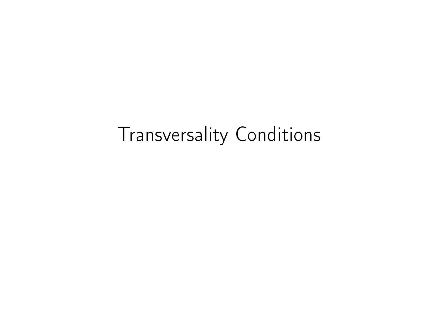# Transversality Conditions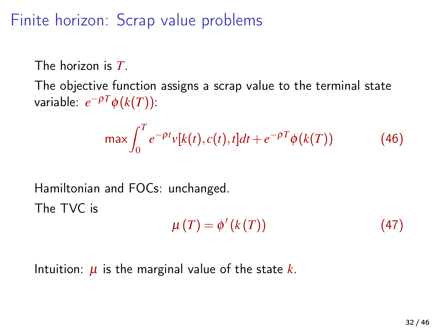Finite horizon: Scrap value problems

The horizon is *T*.

The objective function assigns a scrap value to the terminal state  $\mathsf{variable}$ :  $e^{-\rho T}\phi(k(T))$ :

$$
\max \int_0^T e^{-\rho t} v[k(t), c(t), t] dt + e^{-\rho T} \phi(k(T)) \tag{46}
$$

Hamiltonian and FOCs: unchanged.  
The TVC is  

$$
\mu(T) = \phi'(k(T))
$$
(47)

Intuition:  $\mu$  is the marginal value of the state  $k$ .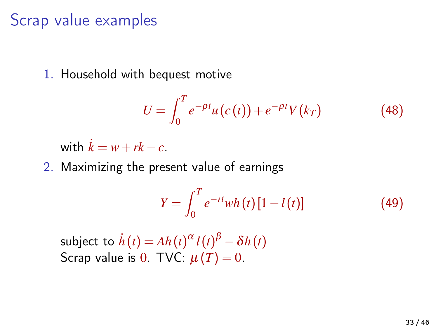#### Scrap value examples

1. Household with bequest motive

$$
U = \int_0^T e^{-\rho t} u(c(t)) + e^{-\rho t} V(k_T)
$$
 (48)

with  $k = w + rk - c$ .

2. Maximizing the present value of earnings

$$
Y = \int_0^T e^{-rt} wh(t) [1 - l(t)] \tag{49}
$$

 $\textsf{subject to} \; \dot{h}\left(t\right) \!=\! A h\!\left(t\right)^{\alpha} l\!\left(t\right)^{\beta} - \delta h\!\left(t\right)$ Scrap value is 0. TVC:  $\mu(T) = 0$ .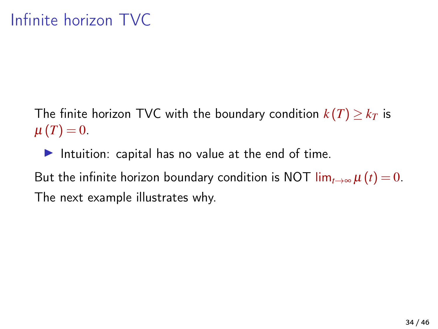The finite horizon TVC with the boundary condition  $k(T) \geq k_T$  is  $\mu(T) = 0.$ 

Intuition: capital has no value at the end of time.

But the infinite horizon boundary condition is NOT  $\lim_{t\to\infty}\mu(t)=0$ . The next example illustrates why.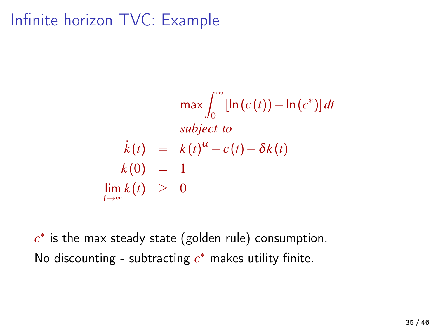Infinite horizon TVC: Example

$$
\max \int_0^\infty [\ln(c(t)) - \ln(c^*)] dt
$$
  
subject to  

$$
\begin{array}{rcl}\nk(t) & = & k(t)^\alpha - c(t) - \delta k(t) \\
k(0) & = & 1 \\
\lim_{t \to \infty} k(t) & \geq & 0\n\end{array}
$$

*c* ∗ is the max steady state (golden rule) consumption. No discounting - subtracting  $c^*$  makes utility finite.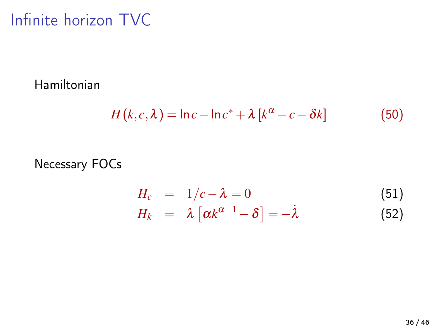## Infinite horizon TVC

Hamiltonian

$$
H(k, c, \lambda) = \ln c - \ln c^* + \lambda [k^{\alpha} - c - \delta k]
$$
 (50)

#### Necessary FOCs

$$
H_c = 1/c - \lambda = 0
$$
 (51)  

$$
H_k = \lambda [\alpha k^{\alpha - 1} - \delta] = -\lambda
$$
 (52)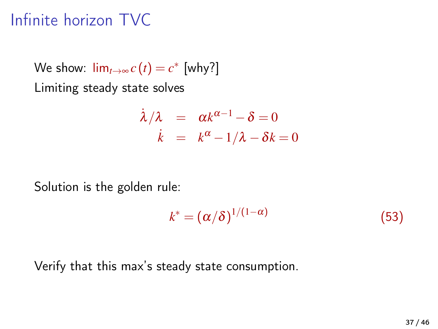## Infinite horizon TVC

We show:  $\lim_{t\to\infty} c(t) = c^*$  [why?] Limiting steady state solves

$$
\begin{array}{rcl}\n\dot{\lambda}/\lambda & = & \alpha k^{\alpha-1} - \delta = 0 \\
\dot{k} & = & k^{\alpha} - 1/\lambda - \delta k = 0\n\end{array}
$$

Solution is the golden rule:

$$
k^* = (\alpha/\delta)^{1/(1-\alpha)} \tag{53}
$$

Verify that this max's steady state consumption.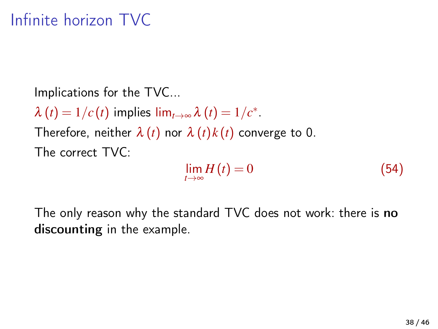## Infinite horizon TVC

Implications for the TVC...  $\lambda(t) = 1/c(t)$  implies  $\lim_{t \to \infty} \lambda(t) = 1/c^*$ . Therefore, neither  $\lambda(t)$  nor  $\lambda(t)k(t)$  converge to 0. The correct TVC:

$$
\lim_{t \to \infty} H(t) = 0 \tag{54}
$$

The only reason why the standard TVC does not work: there is no discounting in the example.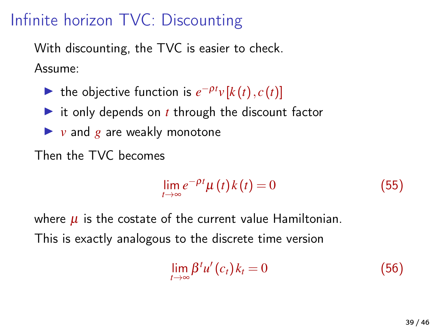## Infinite horizon TVC: Discounting

With discounting, the TVC is easier to check. Assume:

- ► the objective function is  $e^{-\rho t}v[k(t), c(t)]$
- $\triangleright$  it only depends on *t* through the discount factor
- $\blacktriangleright$  *v* and *g* are weakly monotone
- Then the TVC becomes

$$
\lim_{t \to \infty} e^{-\rho t} \mu(t) k(t) = 0 \tag{55}
$$

where  $\mu$  is the costate of the current value Hamiltonian. This is exactly analogous to the discrete time version

$$
\lim_{t \to \infty} \beta^t u'(c_t) k_t = 0 \tag{56}
$$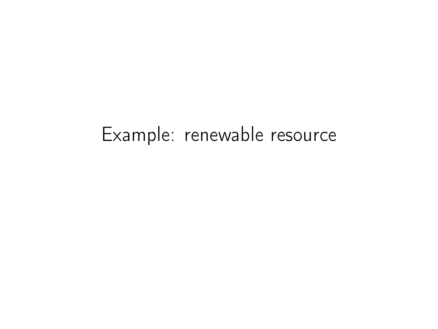# Example: renewable resource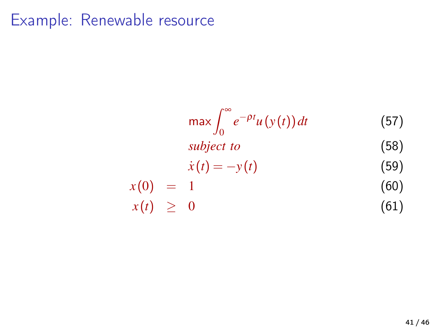#### Example: Renewable resource

$$
\max \int_0^\infty e^{-\rho t} u(y(t)) dt \tag{57}
$$

$$
subject\ to\qquad(58)
$$

$$
\dot{x}(t) = -y(t) \tag{59}
$$

$$
x(0) = 1 \tag{60}
$$

$$
x(t) \geq 0 \tag{61}
$$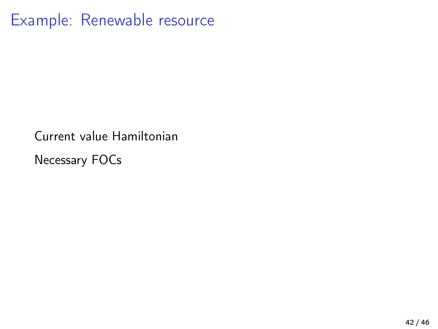### Example: Renewable resource

Current value Hamiltonian

Necessary FOCs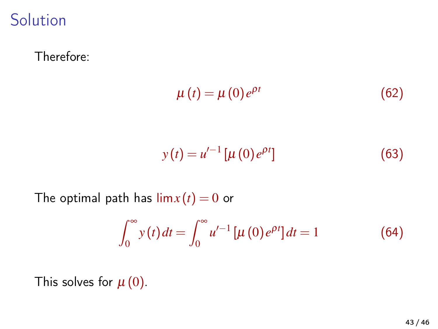**Solution** 

Therefore:

$$
\mu(t) = \mu(0)e^{\rho t} \tag{62}
$$

$$
y(t) = u'^{-1} \left[ \mu(0) e^{\rho t} \right] \tag{63}
$$

The optimal path has  $\lim x(t) = 0$  or

$$
\int_0^\infty y(t) dt = \int_0^\infty u'^{-1} \left[ \mu(0) e^{\rho t} \right] dt = 1 \tag{64}
$$

This solves for  $\mu(0)$ .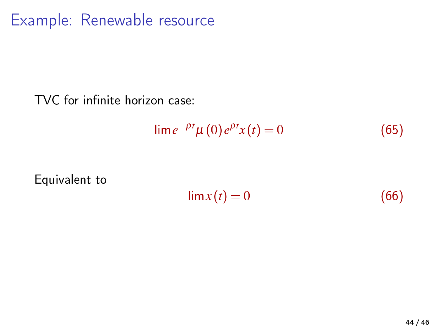### Example: Renewable resource

TVC for infinite horizon case:

$$
\lim e^{-\rho t} \mu(0) e^{\rho t} x(t) = 0 \tag{65}
$$

Equivalent to

 $\lim x(t) = 0$  (66)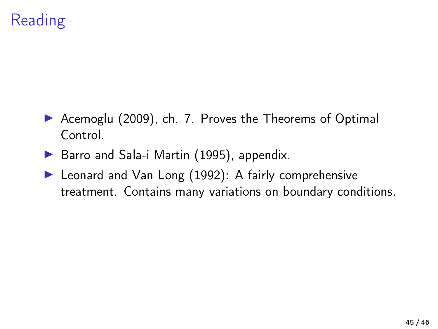## Reading

- ▶ [Acemoglu \(2009\)](#page-45-0), ch. 7. Proves the Theorems of Optimal Control.
- $\triangleright$  [Barro and Sala-i Martin \(1995\)](#page-45-3), appendix.
- ▶ [Leonard and Van Long \(1992\)](#page-45-1): A fairly comprehensive treatment. Contains many variations on boundary conditions.